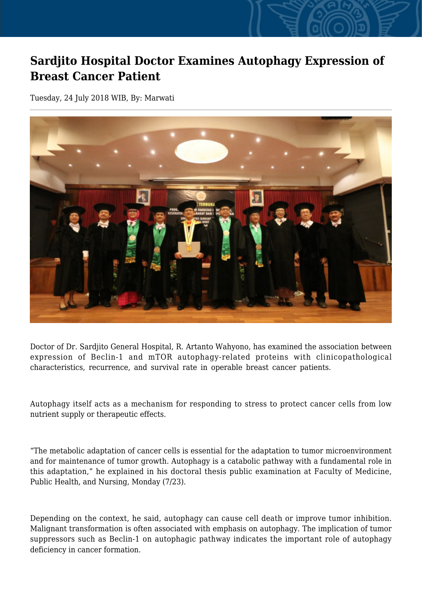## **Sardjito Hospital Doctor Examines Autophagy Expression of Breast Cancer Patient**

Tuesday, 24 July 2018 WIB, By: Marwati



Doctor of Dr. Sardjito General Hospital, R. Artanto Wahyono, has examined the association between expression of Beclin-1 and mTOR autophagy-related proteins with clinicopathological characteristics, recurrence, and survival rate in operable breast cancer patients.

Autophagy itself acts as a mechanism for responding to stress to protect cancer cells from low nutrient supply or therapeutic effects.

"The metabolic adaptation of cancer cells is essential for the adaptation to tumor microenvironment and for maintenance of tumor growth. Autophagy is a catabolic pathway with a fundamental role in this adaptation," he explained in his doctoral thesis public examination at Faculty of Medicine, Public Health, and Nursing, Monday (7/23).

Depending on the context, he said, autophagy can cause cell death or improve tumor inhibition. Malignant transformation is often associated with emphasis on autophagy. The implication of tumor suppressors such as Beclin-1 on autophagic pathway indicates the important role of autophagy deficiency in cancer formation.